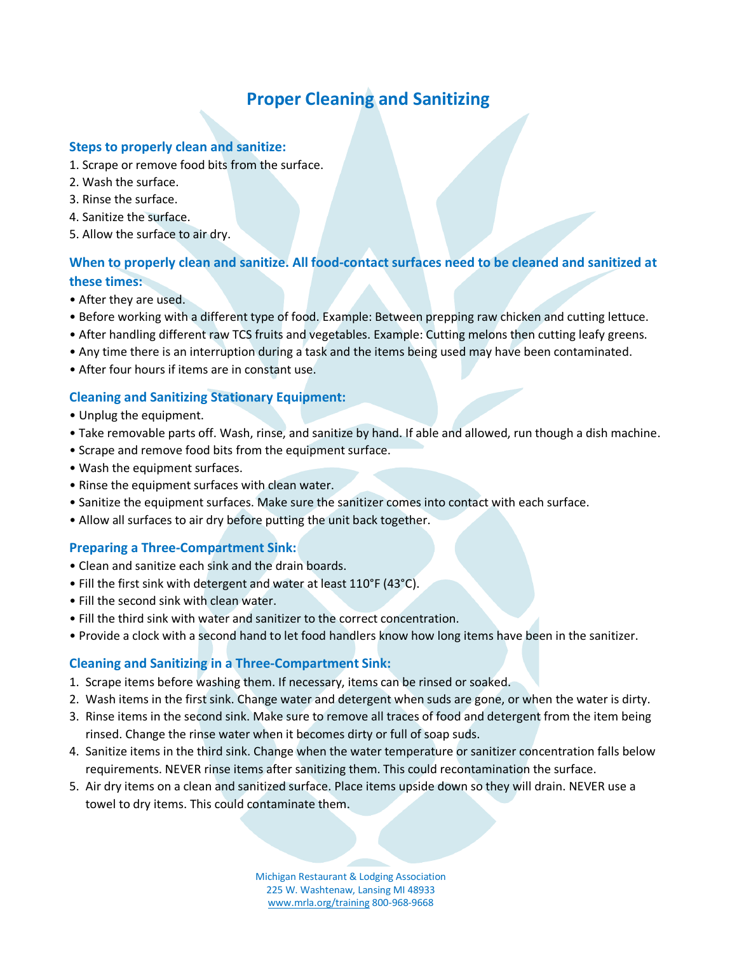# **Proper Cleaning and Sanitizing**

#### **Steps to properly clean and sanitize:**

- 1. Scrape or remove food bits from the surface.
- 2. Wash the surface.
- 3. Rinse the surface.
- 4. Sanitize the surface.
- 5. Allow the surface to air dry.

## **When to properly clean and sanitize. All food-contact surfaces need to be cleaned and sanitized at these times:**

- After they are used.
- Before working with a different type of food. Example: Between prepping raw chicken and cutting lettuce.
- After handling different raw TCS fruits and vegetables. Example: Cutting melons then cutting leafy greens.
- Any time there is an interruption during a task and the items being used may have been contaminated.
- After four hours if items are in constant use.

#### **Cleaning and Sanitizing Stationary Equipment:**

- Unplug the equipment.
- Take removable parts off. Wash, rinse, and sanitize by hand. If able and allowed, run though a dish machine.
- Scrape and remove food bits from the equipment surface.
- Wash the equipment surfaces.
- Rinse the equipment surfaces with clean water.
- Sanitize the equipment surfaces. Make sure the sanitizer comes into contact with each surface.
- Allow all surfaces to air dry before putting the unit back together.

#### **Preparing a Three-Compartment Sink:**

- Clean and sanitize each sink and the drain boards.
- Fill the first sink with detergent and water at least 110°F (43°C).
- Fill the second sink with clean water.
- Fill the third sink with water and sanitizer to the correct concentration.
- Provide a clock with a second hand to let food handlers know how long items have been in the sanitizer.

### **Cleaning and Sanitizing in a Three-Compartment Sink:**

- 1. Scrape items before washing them. If necessary, items can be rinsed or soaked.
- 2. Wash items in the first sink. Change water and detergent when suds are gone, or when the water is dirty.
- 3. Rinse items in the second sink. Make sure to remove all traces of food and detergent from the item being rinsed. Change the rinse water when it becomes dirty or full of soap suds.
- 4. Sanitize items in the third sink. Change when the water temperature or sanitizer concentration falls below requirements. NEVER rinse items after sanitizing them. This could recontamination the surface.
- 5. Air dry items on a clean and sanitized surface. Place items upside down so they will drain. NEVER use a towel to dry items. This could contaminate them.

Michigan Restaurant & Lodging Association 225 W. Washtenaw, Lansing MI 48933 www.mrla.org/training 800-968-9668